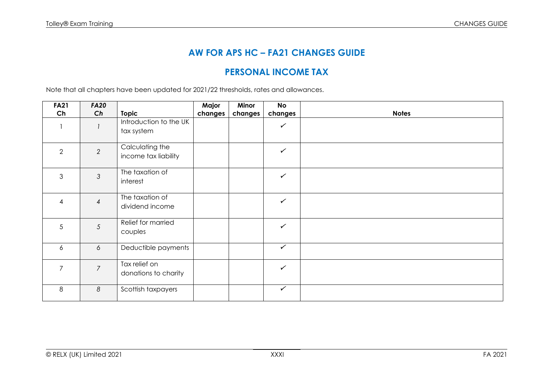# **AW FOR APS HC – FA21 CHANGES GUIDE**

## **PERSONAL INCOME TAX**

Note that all chapters have been updated for 2021/22 thresholds, rates and allowances.

| <b>FA21</b>              | <b>FA20</b>    |                                         | Major   | Minor   | <b>No</b>    |              |
|--------------------------|----------------|-----------------------------------------|---------|---------|--------------|--------------|
| Ch                       | Ch             | <b>Topic</b>                            | changes | changes | changes      | <b>Notes</b> |
|                          |                | Introduction to the UK<br>tax system    |         |         | $\checkmark$ |              |
| $\mathbf{2}$             | $\overline{2}$ | Calculating the<br>income tax liability |         |         | $\checkmark$ |              |
| 3                        | $\mathfrak{Z}$ | The taxation of<br>interest             |         |         | $\checkmark$ |              |
| $\overline{\mathcal{A}}$ | $\overline{4}$ | The taxation of<br>dividend income      |         |         | $\checkmark$ |              |
| 5                        | 5              | Relief for married<br>couples           |         |         | $\checkmark$ |              |
| 6                        | 6              | Deductible payments                     |         |         | $\checkmark$ |              |
| $\overline{7}$           | $\overline{7}$ | Tax relief on<br>donations to charity   |         |         | $\checkmark$ |              |
| 8                        | 8              | Scottish taxpayers                      |         |         | $\checkmark$ |              |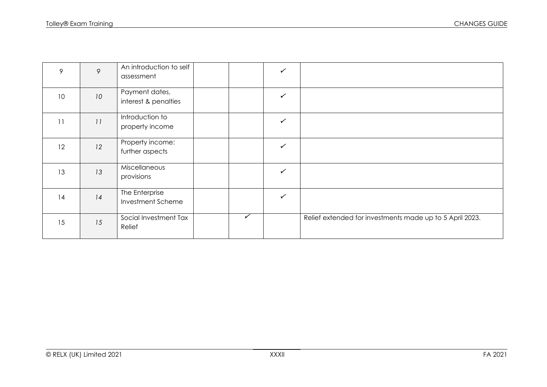| 9  | 9  | An introduction to self<br>assessment  |   | ✓            |                                                          |
|----|----|----------------------------------------|---|--------------|----------------------------------------------------------|
| 10 | 10 | Payment dates,<br>interest & penalties |   | $\checkmark$ |                                                          |
| 11 | 11 | Introduction to<br>property income     |   | $\checkmark$ |                                                          |
| 12 | 12 | Property income:<br>further aspects    |   | $\checkmark$ |                                                          |
| 13 | 13 | Miscellaneous<br>provisions            |   | $\checkmark$ |                                                          |
| 14 | 14 | The Enterprise<br>Investment Scheme    |   | $\checkmark$ |                                                          |
| 15 | 15 | Social Investment Tax<br>Relief        | ✓ |              | Relief extended for investments made up to 5 April 2023. |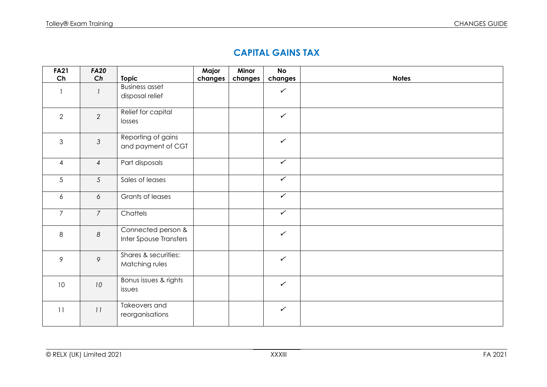#### **CAPITAL GAINS TAX**

| <b>FA21</b>    | <b>FA20</b>     |                        | Major   | Minor   | <b>No</b>    |              |
|----------------|-----------------|------------------------|---------|---------|--------------|--------------|
| Ch             | Ch              | <b>Topic</b>           | changes | changes | changes      | <b>Notes</b> |
| $\mathbf{1}$   |                 | <b>Business asset</b>  |         |         | $\checkmark$ |              |
|                |                 | disposal relief        |         |         |              |              |
|                |                 |                        |         |         |              |              |
| 2              | 2               | Relief for capital     |         |         | $\checkmark$ |              |
|                |                 | losses                 |         |         |              |              |
|                |                 |                        |         |         |              |              |
| $\mathfrak{S}$ | $\mathfrak{Z}$  | Reporting of gains     |         |         | $\checkmark$ |              |
|                |                 | and payment of CGT     |         |         |              |              |
|                |                 |                        |         |         | $\checkmark$ |              |
| $\overline{4}$ | $\overline{4}$  | Part disposals         |         |         |              |              |
| 5              | $5\overline{)}$ | Sales of leases        |         |         | $\checkmark$ |              |
|                |                 |                        |         |         |              |              |
| 6              | 6               | Grants of leases       |         |         | $\checkmark$ |              |
|                |                 |                        |         |         |              |              |
| $\overline{7}$ | $\overline{7}$  | Chattels               |         |         | $\sqrt{ }$   |              |
|                |                 |                        |         |         |              |              |
| 8              | 8               | Connected person &     |         |         | $\checkmark$ |              |
|                |                 | Inter Spouse Transfers |         |         |              |              |
|                |                 | Shares & securities:   |         |         |              |              |
| 9              | 9               | Matching rules         |         |         | $\checkmark$ |              |
|                |                 |                        |         |         |              |              |
|                |                 | Bonus issues & rights  |         |         |              |              |
| 10             | 10              | issues                 |         |         | $\checkmark$ |              |
|                |                 |                        |         |         |              |              |
| 11             | 11              | Takeovers and          |         |         | $\checkmark$ |              |
|                |                 | reorganisations        |         |         |              |              |
|                |                 |                        |         |         |              |              |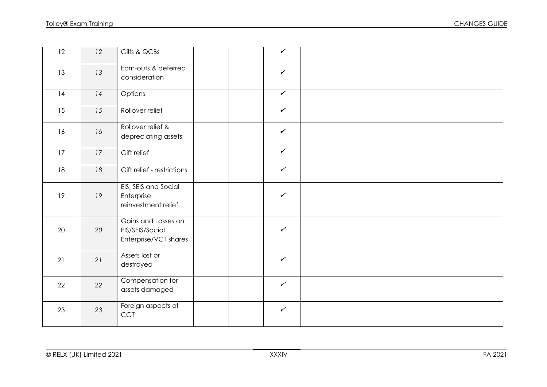| 12 | 12 | Gilts & QCBs                                                    |  | $\overline{\checkmark}$ |  |
|----|----|-----------------------------------------------------------------|--|-------------------------|--|
| 13 | 13 | Earn-outs & deferred<br>consideration                           |  | $\checkmark$            |  |
| 14 | 14 | Options                                                         |  | $\checkmark$            |  |
| 15 | 15 | Rollover relief                                                 |  | $\checkmark$            |  |
| 16 | 16 | Rollover relief &<br>depreciating assets                        |  | $\checkmark$            |  |
| 17 | 17 | Gift relief                                                     |  | $\overline{\checkmark}$ |  |
| 18 | 18 | Gift relief - restrictions                                      |  | $\checkmark$            |  |
| 19 | 19 | EIS, SEIS and Social<br>Enterprise<br>reinvestment relief       |  | $\checkmark$            |  |
| 20 | 20 | Gains and Losses on<br>EIS/SEIS/Social<br>Enterprise/VCT shares |  | $\checkmark$            |  |
| 21 | 21 | Assets lost or<br>destroyed                                     |  | $\checkmark$            |  |
| 22 | 22 | Compensation for<br>assets damaged                              |  | $\checkmark$            |  |
| 23 | 23 | Foreign aspects of<br><b>CGT</b>                                |  | $\checkmark$            |  |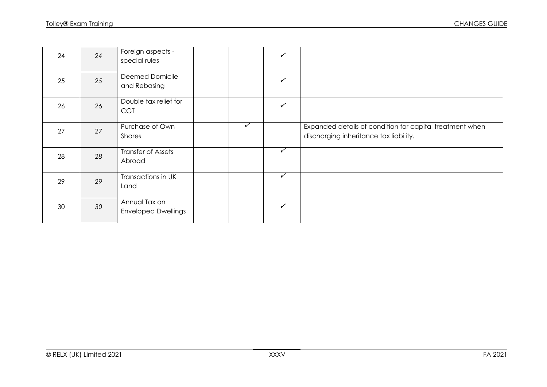| 24 | 24 | Foreign aspects -<br>special rules          |              | $\checkmark$ |                                                                                                    |
|----|----|---------------------------------------------|--------------|--------------|----------------------------------------------------------------------------------------------------|
| 25 | 25 | Deemed Domicile<br>and Rebasing             |              | $\checkmark$ |                                                                                                    |
| 26 | 26 | Double tax relief for<br><b>CGT</b>         |              | $\checkmark$ |                                                                                                    |
| 27 | 27 | Purchase of Own<br>Shares                   | $\checkmark$ |              | Expanded details of condition for capital treatment when<br>discharging inheritance tax liability. |
| 28 | 28 | Transfer of Assets<br>Abroad                |              | ✓            |                                                                                                    |
| 29 | 29 | Transactions in UK<br>Land                  |              | $\checkmark$ |                                                                                                    |
| 30 | 30 | Annual Tax on<br><b>Enveloped Dwellings</b> |              | $\checkmark$ |                                                                                                    |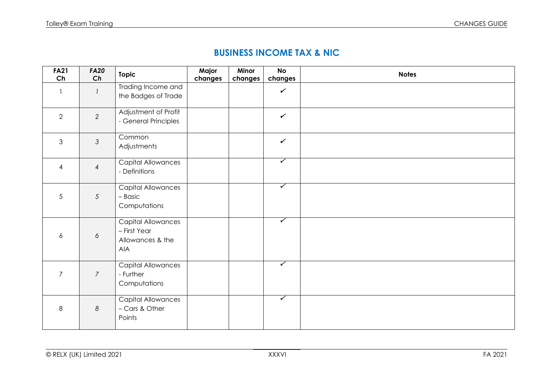## **BUSINESS INCOME TAX & NIC**

| <b>FA21</b><br>Ch | <b>FA20</b><br>Ch | <b>Topic</b>                                                         | Major<br>changes | Minor<br>changes | <b>No</b><br>changes    | <b>Notes</b> |
|-------------------|-------------------|----------------------------------------------------------------------|------------------|------------------|-------------------------|--------------|
|                   |                   | Trading Income and<br>the Badges of Trade                            |                  |                  | $\checkmark$            |              |
| $\overline{2}$    | $\overline{2}$    | Adjustment of Profit<br>- General Principles                         |                  |                  | $\checkmark$            |              |
| $\mathfrak{Z}$    | $\mathfrak{Z}$    | Common<br>Adjustments                                                |                  |                  | $\checkmark$            |              |
| $\overline{4}$    | $\overline{4}$    | Capital Allowances<br>- Definitions                                  |                  |                  | $\overline{\checkmark}$ |              |
| $\sqrt{5}$        | $5\overline{)}$   | Capital Allowances<br>- Basic<br>Computations                        |                  |                  | $\overline{\checkmark}$ |              |
| 6                 | 6                 | Capital Allowances<br>- First Year<br>Allowances & the<br><b>AIA</b> |                  |                  | $\overline{\checkmark}$ |              |
| $\overline{7}$    | $\overline{7}$    | Capital Allowances<br>- Further<br>Computations                      |                  |                  | $\overline{\checkmark}$ |              |
| $\,8\,$           | $\boldsymbol{8}$  | <b>Capital Allowances</b><br>- Cars & Other<br>Points                |                  |                  | $\overline{\checkmark}$ |              |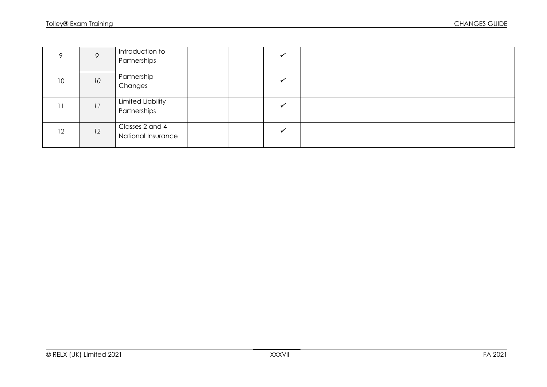|    | $\circ$ | Introduction to<br>Partnerships          |  |  |
|----|---------|------------------------------------------|--|--|
| 10 | 10      | Partnership<br>Changes                   |  |  |
|    | 11      | <b>Limited Liability</b><br>Partnerships |  |  |
| 12 | 12      | Classes 2 and 4<br>National Insurance    |  |  |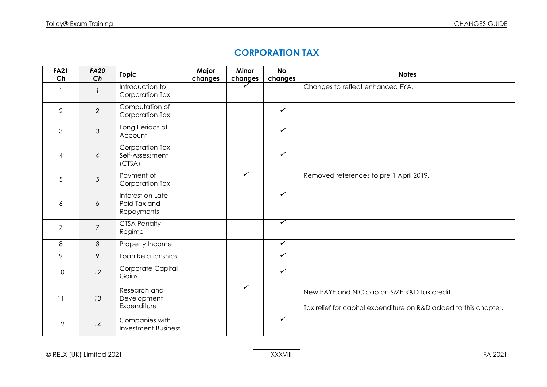#### **CORPORATION TAX**

| <b>FA21</b><br>Ch | <b>FA20</b><br>Ch | <b>Topic</b>                                   | Major<br>changes | Minor<br>changes        | <b>No</b><br>changes    | <b>Notes</b>                                                                                                    |
|-------------------|-------------------|------------------------------------------------|------------------|-------------------------|-------------------------|-----------------------------------------------------------------------------------------------------------------|
| $\mathbf{1}$      |                   | Introduction to<br>Corporation Tax             |                  |                         |                         | Changes to reflect enhanced FYA.                                                                                |
| $\overline{2}$    | $\overline{2}$    | Computation of<br>Corporation Tax              |                  |                         | $\checkmark$            |                                                                                                                 |
| 3                 | $\mathfrak{Z}$    | Long Periods of<br>Account                     |                  |                         | $\checkmark$            |                                                                                                                 |
| $\overline{4}$    | $\overline{4}$    | Corporation Tax<br>Self-Assessment<br>(CISA)   |                  |                         | $\checkmark$            |                                                                                                                 |
| 5                 | 5                 | Payment of<br>Corporation Tax                  |                  | $\checkmark$            |                         | Removed references to pre 1 April 2019.                                                                         |
| 6                 | 6                 | Interest on Late<br>Paid Tax and<br>Repayments |                  |                         | $\checkmark$            |                                                                                                                 |
| $\overline{7}$    | $\overline{7}$    | <b>CTSA Penalty</b><br>Regime                  |                  |                         | $\blacktriangledown$    |                                                                                                                 |
| 8                 | 8                 | Property Income                                |                  |                         | $\checkmark$            |                                                                                                                 |
| 9                 | 9                 | Loan Relationships                             |                  |                         | $\overline{\checkmark}$ |                                                                                                                 |
| 10                | 12                | Corporate Capital<br>Gains                     |                  |                         | $\checkmark$            |                                                                                                                 |
| 11                | 13                | Research and<br>Development<br>Expenditure     |                  | $\overline{\checkmark}$ |                         | New PAYE and NIC cap on SME R&D tax credit.<br>Tax relief for capital expenditure on R&D added to this chapter. |
| 12                | 14                | Companies with<br><b>Investment Business</b>   |                  |                         | $\overline{\checkmark}$ |                                                                                                                 |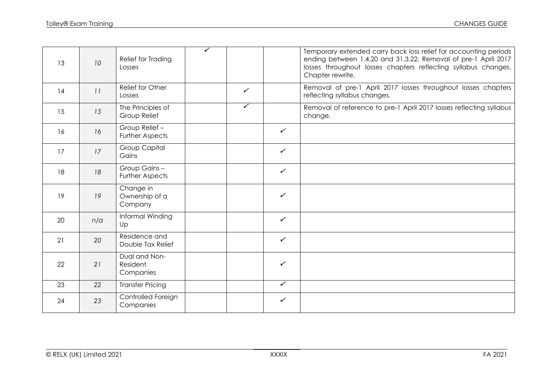| 13 | 10  | Relief for Trading<br>Losses            | ✓ |                         |              | Temporary extended carry back loss relief for accounting periods<br>ending between 1.4.20 and 31.3.22. Removal of pre-1 April 2017<br>losses throughout losses chapters reflecting syllabus changes.<br>Chapter rewrite. |
|----|-----|-----------------------------------------|---|-------------------------|--------------|--------------------------------------------------------------------------------------------------------------------------------------------------------------------------------------------------------------------------|
| 14 | 11  | Relief for Other<br>Losses              |   | $\checkmark$            |              | Removal of pre-1 April 2017 losses throughout losses chapters<br>reflecting syllabus changes.                                                                                                                            |
| 15 | 15  | The Principles of<br>Group Relief       |   | $\overline{\checkmark}$ |              | Removal of reference to pre-1 April 2017 losses reflecting syllabus<br>change.                                                                                                                                           |
| 16 | 16  | Group Relief-<br><b>Further Aspects</b> |   |                         | $\checkmark$ |                                                                                                                                                                                                                          |
| 17 | 17  | <b>Group Capital</b><br>Gains           |   |                         | $\checkmark$ |                                                                                                                                                                                                                          |
| 18 | 18  | Group Gains-<br><b>Further Aspects</b>  |   |                         | $\checkmark$ |                                                                                                                                                                                                                          |
| 19 | 19  | Change in<br>Ownership of a<br>Company  |   |                         | $\checkmark$ |                                                                                                                                                                                                                          |
| 20 | n/a | Informal Winding<br>Up                  |   |                         | $\checkmark$ |                                                                                                                                                                                                                          |
| 21 | 20  | Residence and<br>Double Tax Relief      |   |                         | $\checkmark$ |                                                                                                                                                                                                                          |
| 22 | 21  | Dual and Non-<br>Resident<br>Companies  |   |                         | $\checkmark$ |                                                                                                                                                                                                                          |
| 23 | 22  | <b>Transfer Pricing</b>                 |   |                         | $\checkmark$ |                                                                                                                                                                                                                          |
| 24 | 23  | Controlled Foreign<br>Companies         |   |                         | $\checkmark$ |                                                                                                                                                                                                                          |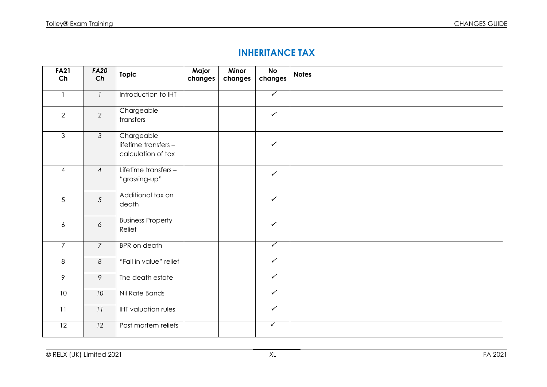## **INHERITANCE TAX**

| <b>FA21</b><br>Ch | <b>FA20</b><br>Ch | <b>Topic</b>                                             | Major<br>changes | Minor<br>changes | <b>No</b><br>changes    | <b>Notes</b> |
|-------------------|-------------------|----------------------------------------------------------|------------------|------------------|-------------------------|--------------|
| $\mathbf{1}$      | $\mathcal{I}$     | Introduction to IHT                                      |                  |                  | $\blacktriangledown$    |              |
| $\overline{2}$    | $\overline{2}$    | Chargeable<br>transfers                                  |                  |                  | $\checkmark$            |              |
| $\mathfrak{S}$    | $\mathcal{S}$     | Chargeable<br>lifetime transfers -<br>calculation of tax |                  |                  | $\checkmark$            |              |
| $\overline{4}$    | $\overline{4}$    | Lifetime transfers -<br>"grossing-up"                    |                  |                  | $\checkmark$            |              |
| 5                 | $\overline{5}$    | Additional tax on<br>death                               |                  |                  | $\checkmark$            |              |
| 6                 | $\acute{\rm{o}}$  | <b>Business Property</b><br>Relief                       |                  |                  | $\checkmark$            |              |
| $\overline{7}$    | $\overline{7}$    | <b>BPR</b> on death                                      |                  |                  | $\overline{\checkmark}$ |              |
| 8                 | 8                 | "Fall in value" relief                                   |                  |                  | $\overline{\checkmark}$ |              |
| $\overline{9}$    | $\circ$           | The death estate                                         |                  |                  | $\overline{\checkmark}$ |              |
| 10                | 10                | Nil Rate Bands                                           |                  |                  | $\sqrt{ }$              |              |
| 11                | 11                | <b>IHT</b> valuation rules                               |                  |                  | $\overline{\checkmark}$ |              |
| $\overline{12}$   | 12                | Post mortem reliefs                                      |                  |                  | $\overline{\checkmark}$ |              |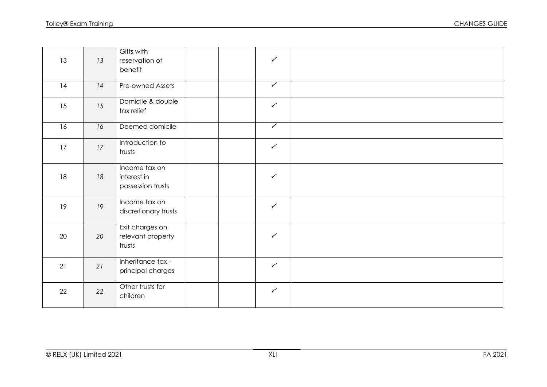| 13 | 13 | Gifts with<br>reservation of<br>benefit           | $\checkmark$         |  |
|----|----|---------------------------------------------------|----------------------|--|
| 14 | 14 | Pre-owned Assets                                  | $\sqrt{}$            |  |
| 15 | 15 | Domicile & double<br>tax relief                   | $\checkmark$         |  |
| 16 | 16 | Deemed domicile                                   | $\blacktriangledown$ |  |
| 17 | 17 | Introduction to<br>trusts                         | $\checkmark$         |  |
| 18 | 18 | Income tax on<br>interest in<br>possession trusts | $\checkmark$         |  |
| 19 | 19 | Income tax on<br>discretionary trusts             | $\checkmark$         |  |
| 20 | 20 | Exit charges on<br>relevant property<br>trusts    | $\checkmark$         |  |
| 21 | 21 | Inheritance tax -<br>principal charges            | $\checkmark$         |  |
| 22 | 22 | Other trusts for<br>children                      | $\checkmark$         |  |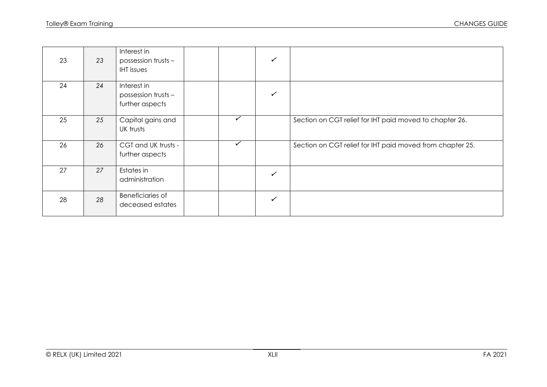| 23 | 23 | Interest in<br>possession trusts -<br><b>IHT</b> issues |              | ✓            |                                                           |
|----|----|---------------------------------------------------------|--------------|--------------|-----------------------------------------------------------|
| 24 | 24 | Interest in<br>possession trusts -<br>further aspects   |              | ✓            |                                                           |
| 25 | 25 | Capital gains and<br>UK trusts                          | $\checkmark$ |              | Section on CGT relief for IHT paid moved to chapter 26.   |
| 26 | 26 | CGT and UK trusts -<br>further aspects                  | $\checkmark$ |              | Section on CGT relief for IHT paid moved from chapter 25. |
| 27 | 27 | Estates in<br>administration                            |              | ✓            |                                                           |
| 28 | 28 | <b>Beneficiaries of</b><br>deceased estates             |              | $\checkmark$ |                                                           |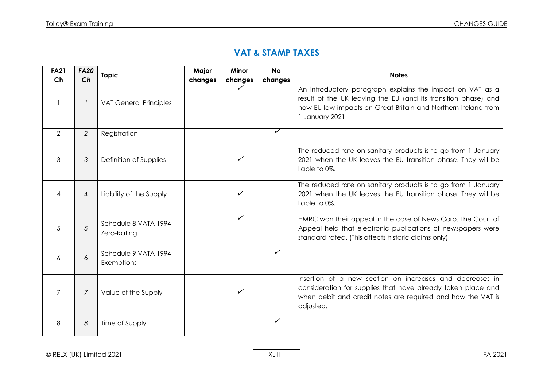#### **VAT & STAMP TAXES**

| <b>FA21</b>    | <b>FA20</b>    | <b>Topic</b>                          | Major   | <b>Minor</b> | <b>No</b>    | <b>Notes</b>                                                                                                                                                                                                   |
|----------------|----------------|---------------------------------------|---------|--------------|--------------|----------------------------------------------------------------------------------------------------------------------------------------------------------------------------------------------------------------|
| Ch             | Ch             |                                       | changes | changes      | changes      |                                                                                                                                                                                                                |
|                |                | <b>VAT General Principles</b>         |         | ✓            |              | An introductory paragraph explains the impact on VAT as a<br>result of the UK leaving the EU (and its transition phase) and<br>how EU law impacts on Great Britain and Northern Ireland from<br>1 January 2021 |
| $\overline{2}$ | 2              | Registration                          |         |              | ✓            |                                                                                                                                                                                                                |
| 3              | 3              | Definition of Supplies                |         | ✓            |              | The reduced rate on sanitary products is to go from 1 January<br>2021 when the UK leaves the EU transition phase. They will be<br>liable to 0%.                                                                |
|                | $\overline{4}$ | Liability of the Supply               |         | ✓            |              | The reduced rate on sanitary products is to go from 1 January<br>2021 when the UK leaves the EU transition phase. They will be<br>liable to 0%.                                                                |
| 5              | 5              | Schedule 8 VATA 1994 -<br>Zero-Rating |         | ✓            |              | HMRC won their appeal in the case of News Corp. The Court of<br>Appeal held that electronic publications of newspapers were<br>standard rated. (This affects historic claims only)                             |
| 6              | 6              | Schedule 9 VATA 1994-<br>Exemptions   |         |              | ✓            |                                                                                                                                                                                                                |
| $\overline{7}$ | $\overline{7}$ | Value of the Supply                   |         | ✓            |              | Insertion of a new section on increases and decreases in<br>consideration for supplies that have already taken place and<br>when debit and credit notes are required and how the VAT is<br>adjusted.           |
| 8              | 8              | Time of Supply                        |         |              | $\checkmark$ |                                                                                                                                                                                                                |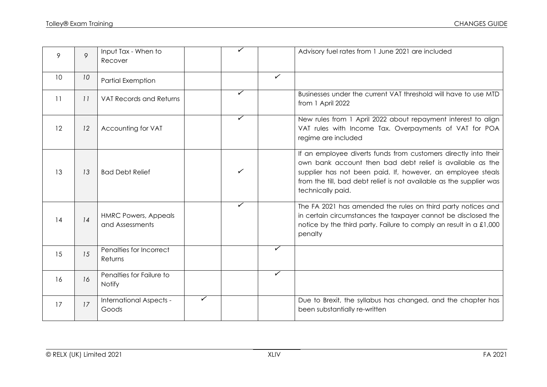| 9  | 9  | Input Tax - When to<br>Recover                 |   | ✓            |              | Advisory fuel rates from 1 June 2021 are included                                                                                                                                                                                                                                       |
|----|----|------------------------------------------------|---|--------------|--------------|-----------------------------------------------------------------------------------------------------------------------------------------------------------------------------------------------------------------------------------------------------------------------------------------|
| 10 | 10 | <b>Partial Exemption</b>                       |   |              | $\checkmark$ |                                                                                                                                                                                                                                                                                         |
| 11 | 11 | <b>VAT Records and Returns</b>                 |   | ✓            |              | Businesses under the current VAT threshold will have to use MTD<br>from 1 April 2022                                                                                                                                                                                                    |
| 12 | 12 | Accounting for VAT                             |   | ✓            |              | New rules from 1 April 2022 about repayment interest to align<br>VAT rules with Income Tax. Overpayments of VAT for POA<br>regime are included                                                                                                                                          |
| 13 | 13 | <b>Bad Debt Relief</b>                         |   | ✓            |              | If an employee diverts funds from customers directly into their<br>own bank account then bad debt relief is available as the<br>supplier has not been paid. If, however, an employee steals<br>from the till, bad debt relief is not available as the supplier was<br>technically paid. |
| 14 | 14 | <b>HMRC Powers, Appeals</b><br>and Assessments |   | $\checkmark$ |              | The FA 2021 has amended the rules on third party notices and<br>in certain circumstances the taxpayer cannot be disclosed the<br>notice by the third party. Failure to comply an result in a £1,000<br>penalty                                                                          |
| 15 | 15 | Penalties for Incorrect<br>Returns             |   |              | ✓            |                                                                                                                                                                                                                                                                                         |
| 16 | 16 | Penalties for Failure to<br><b>Notify</b>      |   |              | ✓            |                                                                                                                                                                                                                                                                                         |
| 17 | 17 | International Aspects -<br>Goods               | ✓ |              |              | Due to Brexit, the syllabus has changed, and the chapter has<br>been substantially re-written                                                                                                                                                                                           |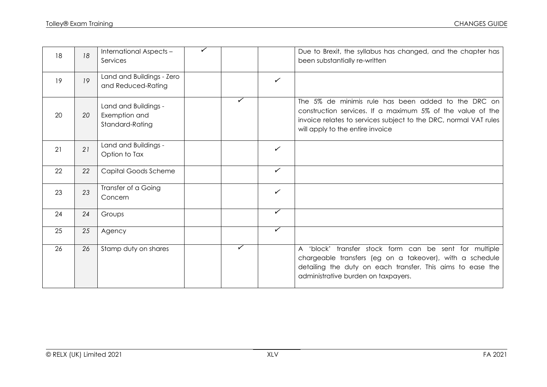| 18 | 18 | International Aspects -<br>Services                      | ✓ |   |              | Due to Brexit, the syllabus has changed, and the chapter has<br>been substantially re-written                                                                                                                             |
|----|----|----------------------------------------------------------|---|---|--------------|---------------------------------------------------------------------------------------------------------------------------------------------------------------------------------------------------------------------------|
| 19 | 19 | Land and Buildings - Zero<br>and Reduced-Rating          |   |   | $\checkmark$ |                                                                                                                                                                                                                           |
| 20 | 20 | Land and Buildings -<br>Exemption and<br>Standard-Rating |   | ✓ |              | The 5% de minimis rule has been added to the DRC on<br>construction services. If a maximum 5% of the value of the<br>invoice relates to services subject to the DRC, normal VAT rules<br>will apply to the entire invoice |
| 21 | 21 | Land and Buildings -<br>Option to Tax                    |   |   | $\checkmark$ |                                                                                                                                                                                                                           |
| 22 | 22 | Capital Goods Scheme                                     |   |   | $\checkmark$ |                                                                                                                                                                                                                           |
| 23 | 23 | Transfer of a Going<br>Concern                           |   |   | $\checkmark$ |                                                                                                                                                                                                                           |
| 24 | 24 | Groups                                                   |   |   | $\checkmark$ |                                                                                                                                                                                                                           |
| 25 | 25 | Agency                                                   |   |   | $\checkmark$ |                                                                                                                                                                                                                           |
| 26 | 26 | Stamp duty on shares                                     |   | ✓ |              | A 'block' transfer stock form can be sent for multiple<br>chargeable transfers (eg on a takeover), with a schedule<br>detailing the duty on each transfer. This aims to ease the<br>administrative burden on taxpayers.   |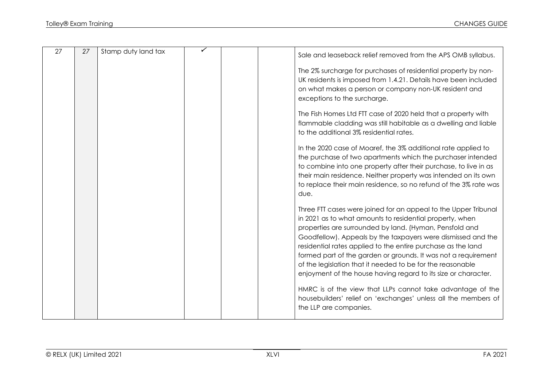| 27 | 27 | Stamp duty land tax |  | Sale and leaseback relief removed from the APS OMB syllabus.                                                                                                                                                                                                                                                                                                                                                                                                                                                             |
|----|----|---------------------|--|--------------------------------------------------------------------------------------------------------------------------------------------------------------------------------------------------------------------------------------------------------------------------------------------------------------------------------------------------------------------------------------------------------------------------------------------------------------------------------------------------------------------------|
|    |    |                     |  | The 2% surcharge for purchases of residential property by non-<br>UK residents is imposed from 1.4.21. Details have been included<br>on what makes a person or company non-UK resident and<br>exceptions to the surcharge.                                                                                                                                                                                                                                                                                               |
|    |    |                     |  | The Fish Homes Ltd FTT case of 2020 held that a property with<br>flammable cladding was still habitable as a dwelling and liable<br>to the additional 3% residential rates.                                                                                                                                                                                                                                                                                                                                              |
|    |    |                     |  | In the 2020 case of Moaref, the 3% additional rate applied to<br>the purchase of two apartments which the purchaser intended<br>to combine into one property after their purchase, to live in as<br>their main residence. Neither property was intended on its own<br>to replace their main residence, so no refund of the 3% rate was<br>due.                                                                                                                                                                           |
|    |    |                     |  | Three FTT cases were joined for an appeal to the Upper Tribunal<br>in 2021 as to what amounts to residential property, when<br>properties are surrounded by land. (Hyman, Pensfold and<br>Goodfellow). Appeals by the taxpayers were dismissed and the<br>residential rates applied to the entire purchase as the land<br>formed part of the garden or grounds. It was not a requirement<br>of the legislation that it needed to be for the reasonable<br>enjoyment of the house having regard to its size or character. |
|    |    |                     |  | HMRC is of the view that LLPs cannot take advantage of the<br>housebuilders' relief on 'exchanges' unless all the members of<br>the LLP are companies.                                                                                                                                                                                                                                                                                                                                                                   |